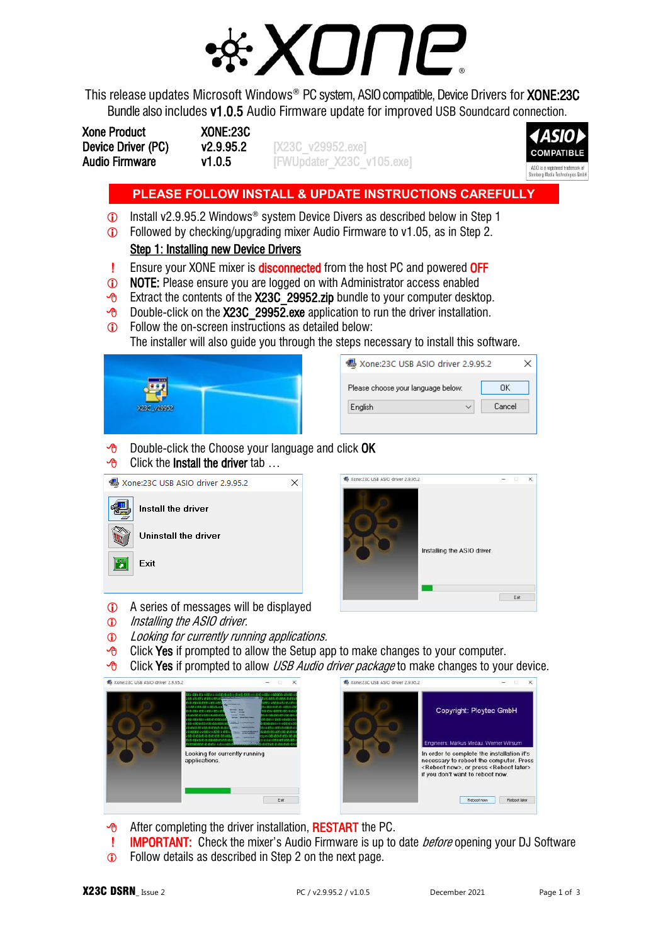

This release updates Microsoft Windows<sup>®</sup> PC system, ASIO compatible, Device Drivers for **XONE:23C** Bundle also includes v1.0.5 Audio Firmware update for improved USB Soundcard connection.

| <b>Xone Product</b>   | <b>XONE:23C</b> |
|-----------------------|-----------------|
| Device Driver (PC)    | v2.9.95.2       |
| <b>Audio Firmware</b> | v1.0.5          |

DEX23C\_v29952.exe] [FWUpdater\_X23C\_v105.exe]



# **PLEASE FOLLOW INSTALL & UPDATE INSTRUCTIONS CAREFULLY**

- Install v2.9.95.2 Windows® system Device Divers as described below in Step 1
- Followed by checking/upgrading mixer Audio Firmware to v1.05, as in Step 2. Step 1: Installing new Device Drivers
- **Ensure your XONE mixer is disconnected** from the host PC and powered OFF
- **1** NOTE: Please ensure you are logged on with Administrator access enabled
- $\sqrt{6}$  Extract the contents of the X23C 29952.zip bundle to your computer desktop.
- $\sqrt{6}$  Double-click on the X23C 29952.exe application to run the driver installation.
- **C** Follow the on-screen instructions as detailed below:

The installer will also guide you through the steps necessary to install this software.



| 圈 Xone:23C USB ASIO driver 2.9.95.2 |        |  |  |  |
|-------------------------------------|--------|--|--|--|
| Please choose your language below:  | OΚ     |  |  |  |
| Enalish                             | Cancel |  |  |  |
|                                     |        |  |  |  |

 $\Theta$  Double-click the Choose your language and click OK





- A series of messages will be displayed
- $\odot$  Installing the ASIO driver.
- **1** Looking for currently running applications.
- $\Theta$  Click Yes if prompted to allow the Setup app to make changes to your computer.
- $\overline{\Theta}$  Click Yes if prompted to allow USB Audio driver package to make changes to your device.





- $\sqrt{\theta}$  After completing the driver installation, **RESTART** the PC.
- **IMPORTANT:** Check the mixer's Audio Firmware is up to date *before* opening your DJ Software
- **C** Follow details as described in Step 2 on the next page.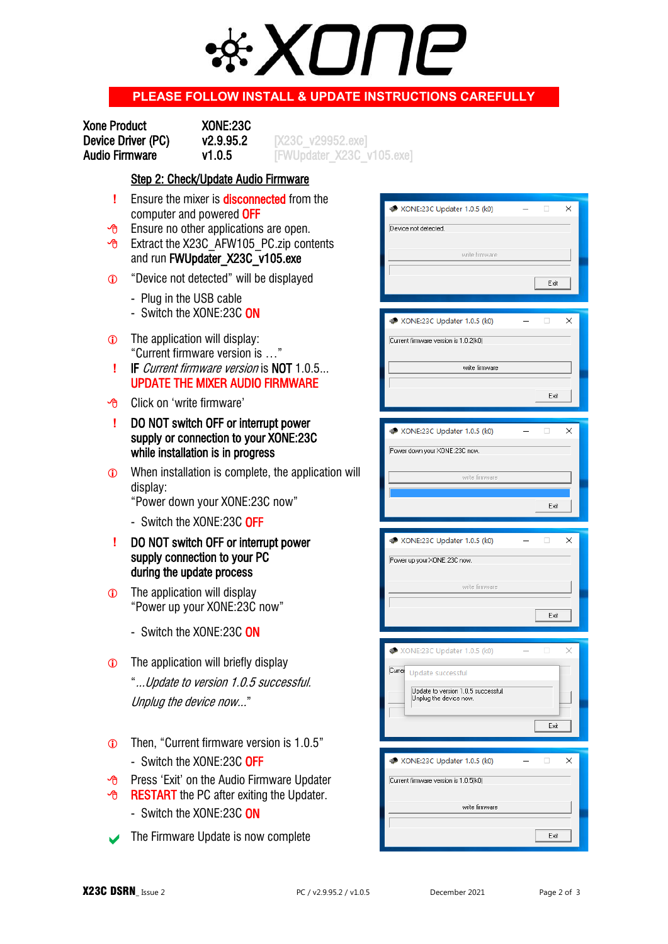

## **PLEASE FOLLOW INSTALL & UPDATE INSTRUCTIONS CAREFULLY**

| <b>Xone Product</b>   |  |
|-----------------------|--|
| Device Driver (PC)    |  |
| <b>Audio Firmware</b> |  |

XONE:23C

Device Driver (PC) v2.9.95.2 [X23C\_v29952.exe]  $v1.0.5$  [FWUpdater\_X23C\_v105.exe]

#### Step 2: Check/Update Audio Firmware

- **!** Ensure the mixer is **disconnected** from the computer and powered OFF
- $\overline{P}$  Ensure no other applications are open.
- $\sqrt{6}$  Extract the X23C AFW105 PC.zip contents and run FWUpdater\_X23C\_v105.exe
- "Device not detected" will be displayed
	- Plug in the USB cable
	- Switch the XONE:23C ON
- The application will display: "Current firmware version is …"
- **!** IF Current firmware version is NOT 1.0.5... UPDATE THE MIXER AUDIO FIRMWARE
- Click on 'write firmware'
- **!** DO NOT switch OFF or interrupt power supply or connection to your XONE:23C while installation is in progress
- **C** When installation is complete, the application will display:

"Power down your XONE:23C now"

- Switch the XONE:23C OFF
- **!** DO NOT switch OFF or interrupt power supply connection to your PC during the update process
- **The application will display**  "Power up your XONE:23C now"
	- Switch the XONE:23C ON
- **The application will briefly display**  "...Update to version 1.0.5 successful. Unplug the device now..."
- Then, "Current firmware version is 1.0.5" - Switch the XONE:23C OFF
- $\overline{P}$  Press 'Exit' on the Audio Firmware Updater
- **B** RESTART the PC after exiting the Updater.
	- Switch the XONE:23C ON
- The Firmware Update is now complete

| ₩ XONE:23C Updater 1.0.5 (k0)         | ×      |
|---------------------------------------|--------|
|                                       |        |
| Device not detected.                  |        |
|                                       |        |
| write firmware                        |        |
|                                       |        |
|                                       |        |
|                                       | Exit   |
|                                       |        |
|                                       |        |
| <b>M</b> XONE:23C Updater 1.0.5 (k0)  | ×      |
| Current firmware version is 1.0.2(k0) |        |
|                                       |        |
|                                       |        |
| write firmware                        |        |
|                                       |        |
|                                       | Exit   |
|                                       |        |
|                                       |        |
| <b>W</b> XONE:23C Updater 1.0.5 (k0)  | ×      |
|                                       |        |
| Power down your XONE:23C now.         |        |
|                                       |        |
| write firmware                        |        |
|                                       |        |
|                                       | Exit   |
|                                       |        |
|                                       |        |
|                                       |        |
|                                       | п      |
| <b>M</b> XONE:23C Updater 1.0.5 (k0)  | ×      |
| Power up your XONE:23C now.           |        |
|                                       |        |
| write firmware                        |        |
|                                       |        |
|                                       |        |
|                                       | Exit   |
|                                       |        |
|                                       |        |
| XONE:23C Updater 1.0.5 (k0)           | □<br>× |
|                                       |        |
| Currer Update successful              |        |
| Update to version 1.0.5 successful.   |        |
| Unplug the device now.                |        |
|                                       |        |
|                                       | Exit   |
|                                       |        |
|                                       |        |
| <b>W</b> XONE:23C Updater 1.0.5 (k0)  | ×      |
|                                       |        |
| Current firmware version is 1.0.5(k0) |        |
|                                       |        |
| write firmware                        |        |
|                                       |        |
|                                       | Exit   |